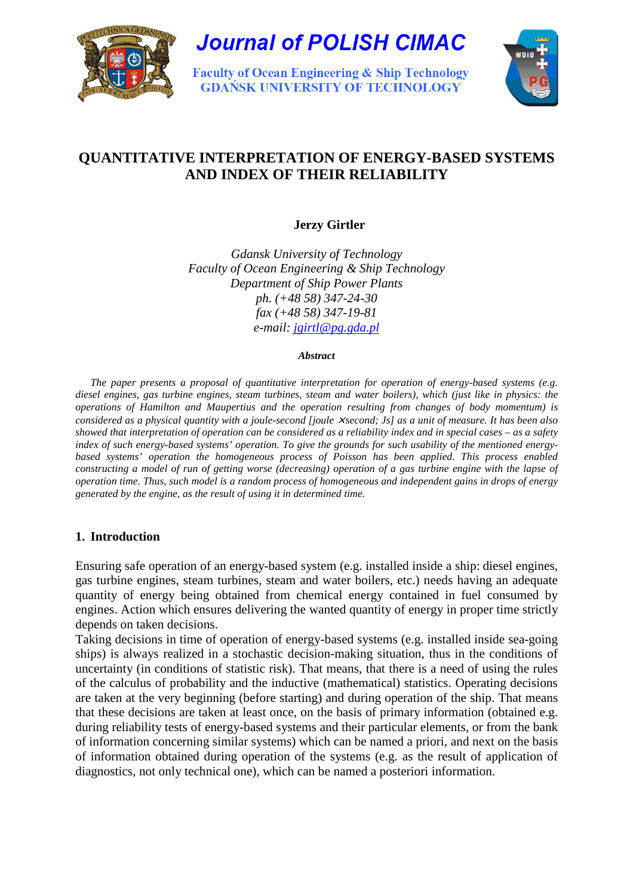

**Journal of POLISH CIMAC** 

**Faculty of Ocean Engineering & Ship Technology GDAŃSK UNIVERSITY OF TECHNOLOGY** 



# **QUANTITATIVE INTERPRETATION OF ENERGY-BASED SYSTEMS AND INDEX OF THEIR RELIABILITY**

# **Jerzy Girtler**

*Gdansk University of Technology Faculty of Ocean Engineering & Ship Technology Department of Ship Power Plants ph. (+48 58) 347-24-30 fax (+48 58) 347-19-81 e-mail: jgirtl@pg.gda.pl*

*Abstract* 

*The paper presents a proposal of quantitative interpretation for operation of energy-based systems (e.g. diesel engines, gas turbine engines, steam turbines, steam and water boilers), which (just like in physics: the operations of Hamilton and Maupertius and the operation resulting from changes of body momentum) is considered as a physical quantity with a joule-second [joule ×* second; Js] as a unit of measure. It has been also *showed that interpretation of operation can be considered as a reliability index and in special cases – as a safety index of such energy-based systems' operation. To give the grounds for such usability of the mentioned energybased systems' operation the homogeneous process of Poisson has been applied. This process enabled constructing a model of run of getting worse (decreasing) operation of a gas turbine engine with the lapse of operation time. Thus, such model is a random process of homogeneous and independent gains in drops of energy generated by the engine, as the result of using it in determined time.* 

# **1. Introduction**

Ensuring safe operation of an energy-based system (e.g. installed inside a ship: diesel engines, gas turbine engines, steam turbines, steam and water boilers, etc.) needs having an adequate quantity of energy being obtained from chemical energy contained in fuel consumed by engines. Action which ensures delivering the wanted quantity of energy in proper time strictly depends on taken decisions.

Taking decisions in time of operation of energy-based systems (e.g. installed inside sea-going ships) is always realized in a stochastic decision-making situation, thus in the conditions of uncertainty (in conditions of statistic risk). That means, that there is a need of using the rules of the calculus of probability and the inductive (mathematical) statistics. Operating decisions are taken at the very beginning (before starting) and during operation of the ship. That means that these decisions are taken at least once, on the basis of primary information (obtained e.g. during reliability tests of energy-based systems and their particular elements, or from the bank of information concerning similar systems) which can be named a priori, and next on the basis of information obtained during operation of the systems (e.g. as the result of application of diagnostics, not only technical one), which can be named a posteriori information.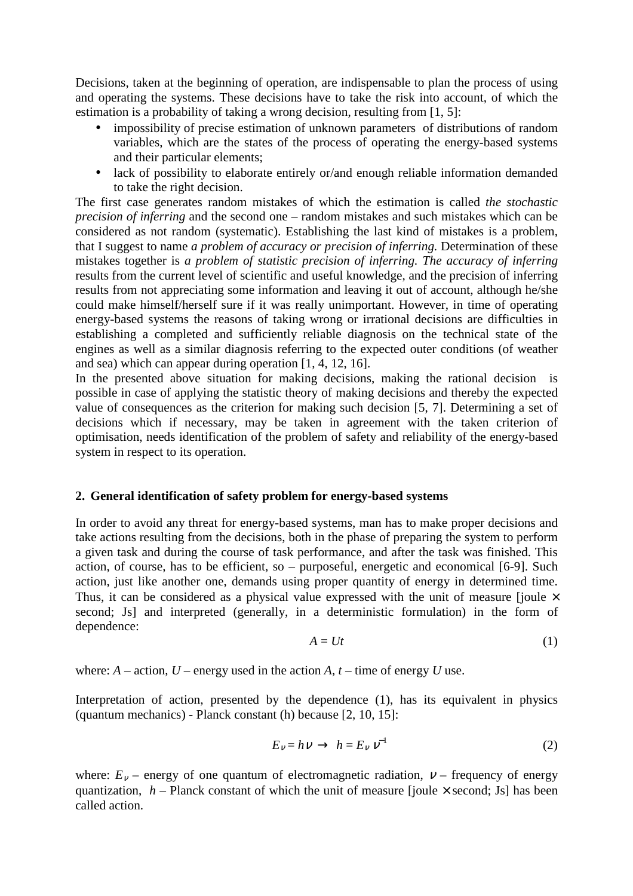Decisions, taken at the beginning of operation, are indispensable to plan the process of using and operating the systems. These decisions have to take the risk into account, of which the estimation is a probability of taking a wrong decision, resulting from [1, 5]:

- impossibility of precise estimation of unknown parameters of distributions of random variables, which are the states of the process of operating the energy-based systems and their particular elements;
- lack of possibility to elaborate entirely or/and enough reliable information demanded to take the right decision.

The first case generates random mistakes of which the estimation is called *the stochastic precision of inferring* and the second one – random mistakes and such mistakes which can be considered as not random (systematic). Establishing the last kind of mistakes is a problem, that I suggest to name *a problem of accuracy or precision of inferring.* Determination of these mistakes together is *a problem of statistic precision of inferring. The accuracy of inferring* results from the current level of scientific and useful knowledge, and the precision of inferring results from not appreciating some information and leaving it out of account, although he/she could make himself/herself sure if it was really unimportant. However, in time of operating energy-based systems the reasons of taking wrong or irrational decisions are difficulties in establishing a completed and sufficiently reliable diagnosis on the technical state of the engines as well as a similar diagnosis referring to the expected outer conditions (of weather and sea) which can appear during operation [1, 4, 12, 16].

In the presented above situation for making decisions, making the rational decision is possible in case of applying the statistic theory of making decisions and thereby the expected value of consequences as the criterion for making such decision [5, 7]. Determining a set of decisions which if necessary, may be taken in agreement with the taken criterion of optimisation, needs identification of the problem of safety and reliability of the energy-based system in respect to its operation.

# **2. General identification of safety problem for energy-based systems**

In order to avoid any threat for energy-based systems, man has to make proper decisions and take actions resulting from the decisions, both in the phase of preparing the system to perform a given task and during the course of task performance, and after the task was finished. This action, of course, has to be efficient, so – purposeful, energetic and economical [6-9]. Such action, just like another one, demands using proper quantity of energy in determined time. Thus, it can be considered as a physical value expressed with the unit of measure [joule  $\times$ second; Js] and interpreted (generally, in a deterministic formulation) in the form of dependence:

$$
A = Ut \tag{1}
$$

where:  $A$  – action,  $U$  – energy used in the action  $A$ ,  $t$  – time of energy  $U$  use.

Interpretation of action, presented by the dependence (1), has its equivalent in physics (quantum mechanics) - Planck constant (h) because [2, 10, 15]:

$$
E_V = hV \to h = E_V V^{-1}
$$
 (2)

where:  $E_v$  – energy of one quantum of electromagnetic radiation,  $v$  – frequency of energy quantization,  $h$  – Planck constant of which the unit of measure [joule  $\times$  second; Js] has been called action.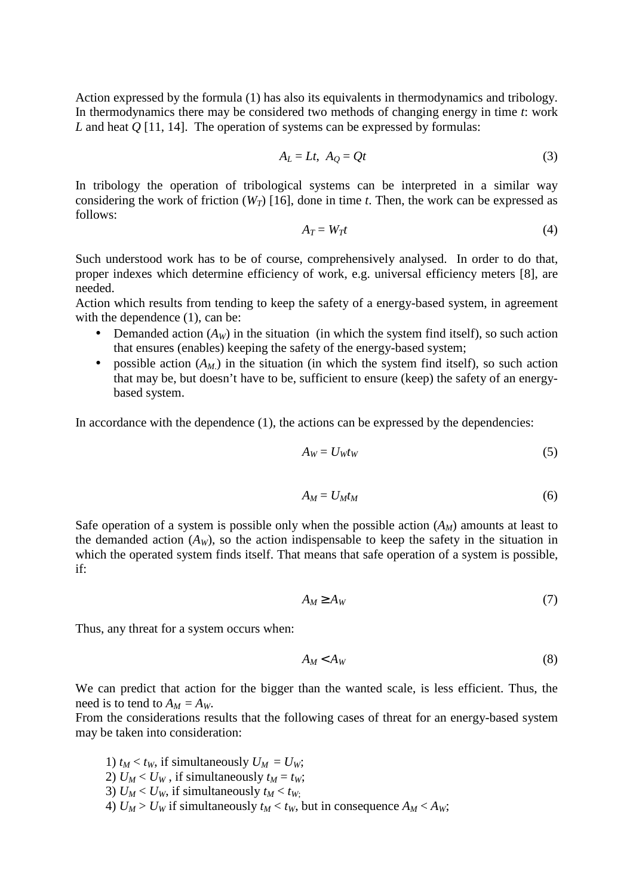Action expressed by the formula (1) has also its equivalents in thermodynamics and tribology. In thermodynamics there may be considered two methods of changing energy in time *t*: work *L* and heat *Q* [11, 14]. The operation of systems can be expressed by formulas:

$$
A_L = Lt, \ A_Q = Qt \tag{3}
$$

In tribology the operation of tribological systems can be interpreted in a similar way considering the work of friction  $(W_T)$  [16], done in time *t*. Then, the work can be expressed as follows:

$$
A_T = W_T t \tag{4}
$$

Such understood work has to be of course, comprehensively analysed. In order to do that, proper indexes which determine efficiency of work, e.g. universal efficiency meters [8], are needed.

Action which results from tending to keep the safety of a energy-based system, in agreement with the dependence  $(1)$ , can be:

- Demanded action  $(A_W)$  in the situation (in which the system find itself), so such action that ensures (enables) keeping the safety of the energy-based system;
- possible action  $(A_M)$  in the situation (in which the system find itself), so such action that may be, but doesn't have to be, sufficient to ensure (keep) the safety of an energybased system.

In accordance with the dependence  $(1)$ , the actions can be expressed by the dependencies:

$$
A_W = U_W t_W \tag{5}
$$

$$
A_M = U_M t_M \tag{6}
$$

Safe operation of a system is possible only when the possible action  $(A_M)$  amounts at least to the demanded action  $(A_W)$ , so the action indispensable to keep the safety in the situation in which the operated system finds itself. That means that safe operation of a system is possible, if:

$$
A_M \ge A_W \tag{7}
$$

Thus, any threat for a system occurs when:

$$
A_M < A_W \tag{8}
$$

We can predict that action for the bigger than the wanted scale, is less efficient. Thus, the need is to tend to  $A_M = A_W$ .

From the considerations results that the following cases of threat for an energy-based system may be taken into consideration:

1)  $t_M < t_W$ , if simultaneously  $U_M = U_W$ ; 2)  $U_M < U_W$ , if simultaneously  $t_M = t_W$ ; 3)  $U_M < U_W$ , if simultaneously  $t_M < t_W$ ; 4)  $U_M > U_W$  if simultaneously  $t_M < t_W$ , but in consequence  $A_M < A_W$ ;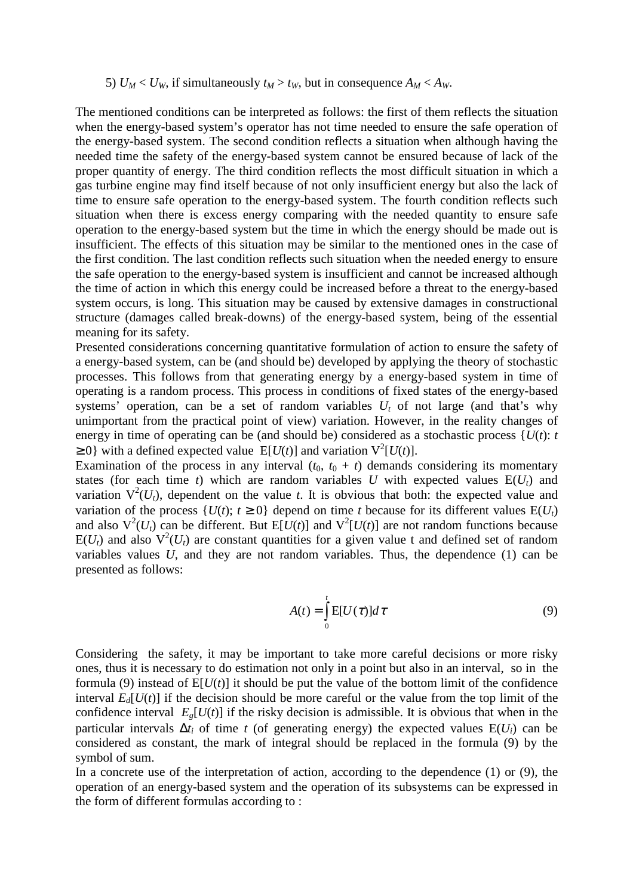#### 5)  $U_M < U_W$ , if simultaneously  $t_M > t_W$ , but in consequence  $A_M < A_W$ .

The mentioned conditions can be interpreted as follows: the first of them reflects the situation when the energy-based system's operator has not time needed to ensure the safe operation of the energy-based system. The second condition reflects a situation when although having the needed time the safety of the energy-based system cannot be ensured because of lack of the proper quantity of energy. The third condition reflects the most difficult situation in which a gas turbine engine may find itself because of not only insufficient energy but also the lack of time to ensure safe operation to the energy-based system. The fourth condition reflects such situation when there is excess energy comparing with the needed quantity to ensure safe operation to the energy-based system but the time in which the energy should be made out is insufficient. The effects of this situation may be similar to the mentioned ones in the case of the first condition. The last condition reflects such situation when the needed energy to ensure the safe operation to the energy-based system is insufficient and cannot be increased although the time of action in which this energy could be increased before a threat to the energy-based system occurs, is long. This situation may be caused by extensive damages in constructional structure (damages called break-downs) of the energy-based system, being of the essential meaning for its safety.

Presented considerations concerning quantitative formulation of action to ensure the safety of a energy-based system, can be (and should be) developed by applying the theory of stochastic processes. This follows from that generating energy by a energy-based system in time of operating is a random process. This process in conditions of fixed states of the energy-based systems' operation, can be a set of random variables  $U_t$  of not large (and that's why unimportant from the practical point of view) variation. However, in the reality changes of energy in time of operating can be (and should be) considered as a stochastic process  $\{U(t): t\}$  $\geq 0$ } with a defined expected value E[*U*(*t*)] and variation  $V^2[U(t)]$ .

Examination of the process in any interval  $(t_0, t_0 + t)$  demands considering its momentary states (for each time *t*) which are random variables *U* with expected values  $E(U_t)$  and variation  $V^2(U_t)$ , dependent on the value *t*. It is obvious that both: the expected value and variation of the process  $\{U(t); t \ge 0\}$  depend on time *t* because for its different values  $E(U_t)$ and also  $V^2(U_t)$  can be different. But  $E[U(t)]$  and  $V^2[U(t)]$  are not random functions because  $E(U_t)$  and also  $V^2(U_t)$  are constant quantities for a given value t and defined set of random variables values *U*, and they are not random variables. Thus, the dependence (1) can be presented as follows:

$$
A(t) = \int_{0}^{t} E[U(\tau)]d\tau
$$
\n(9)

Considering the safety, it may be important to take more careful decisions or more risky ones, thus it is necessary to do estimation not only in a point but also in an interval, so in the formula (9) instead of  $E[U(t)]$  it should be put the value of the bottom limit of the confidence interval  $E_d[U(t)]$  if the decision should be more careful or the value from the top limit of the confidence interval  $E_g[U(t)]$  if the risky decision is admissible. It is obvious that when in the particular intervals  $\Delta t_i$  of time *t* (of generating energy) the expected values  $E(U_i)$  can be considered as constant, the mark of integral should be replaced in the formula (9) by the symbol of sum.

In a concrete use of the interpretation of action, according to the dependence (1) or (9), the operation of an energy-based system and the operation of its subsystems can be expressed in the form of different formulas according to :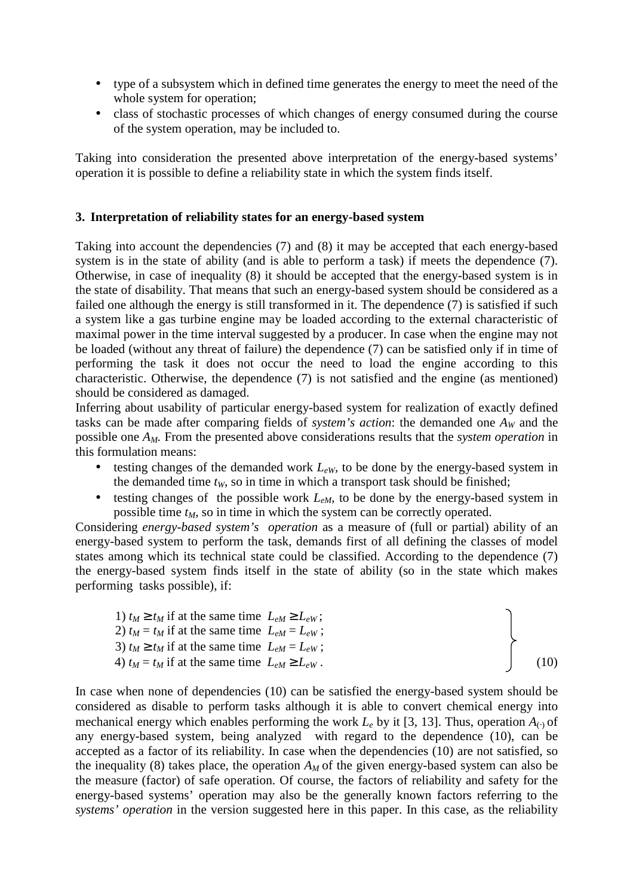- type of a subsystem which in defined time generates the energy to meet the need of the whole system for operation;
- class of stochastic processes of which changes of energy consumed during the course of the system operation, may be included to.

Taking into consideration the presented above interpretation of the energy-based systems' operation it is possible to define a reliability state in which the system finds itself.

# **3. Interpretation of reliability states for an energy-based system**

Taking into account the dependencies (7) and (8) it may be accepted that each energy-based system is in the state of ability (and is able to perform a task) if meets the dependence (7). Otherwise, in case of inequality (8) it should be accepted that the energy-based system is in the state of disability. That means that such an energy-based system should be considered as a failed one although the energy is still transformed in it. The dependence (7) is satisfied if such a system like a gas turbine engine may be loaded according to the external characteristic of maximal power in the time interval suggested by a producer. In case when the engine may not be loaded (without any threat of failure) the dependence (7) can be satisfied only if in time of performing the task it does not occur the need to load the engine according to this characteristic. Otherwise, the dependence (7) is not satisfied and the engine (as mentioned) should be considered as damaged.

Inferring about usability of particular energy-based system for realization of exactly defined tasks can be made after comparing fields of *system's action*: the demanded one  $A_W$  and the possible one *AM.* From the presented above considerations results that the *system operation* in this formulation means:

- testing changes of the demanded work  $L_{eW}$ , to be done by the energy-based system in the demanded time  $t_W$ , so in time in which a transport task should be finished;
- testing changes of the possible work  $L_{eM}$ , to be done by the energy-based system in possible time *tM*, so in time in which the system can be correctly operated.

Considering *energy-based system's operation* as a measure of (full or partial) ability of an energy-based system to perform the task, demands first of all defining the classes of model states among which its technical state could be classified. According to the dependence (7) the energy-based system finds itself in the state of ability (so in the state which makes performing tasks possible), if:

| 1) $t_M \ge t_M$ if at the same time $L_{eM} \ge L_{eW}$ ; |      |
|------------------------------------------------------------|------|
| 2) $t_M = t_M$ if at the same time $L_{eM} = L_{eW}$ ;     |      |
| 3) $t_M \ge t_M$ if at the same time $L_{eM} = L_{eW}$ ;   |      |
| 4) $t_M = t_M$ if at the same time $L_{eM} \ge L_{eW}$ .   | (10) |

In case when none of dependencies (10) can be satisfied the energy-based system should be considered as disable to perform tasks although it is able to convert chemical energy into mechanical energy which enables performing the work  $L_e$  by it [3, 13]. Thus, operation  $A_{\odot}$  of any energy-based system, being analyzed with regard to the dependence (10), can be accepted as a factor of its reliability. In case when the dependencies (10) are not satisfied, so the inequality (8) takes place, the operation  $A_M$  of the given energy-based system can also be the measure (factor) of safe operation. Of course, the factors of reliability and safety for the energy-based systems' operation may also be the generally known factors referring to the *systems' operation* in the version suggested here in this paper. In this case, as the reliability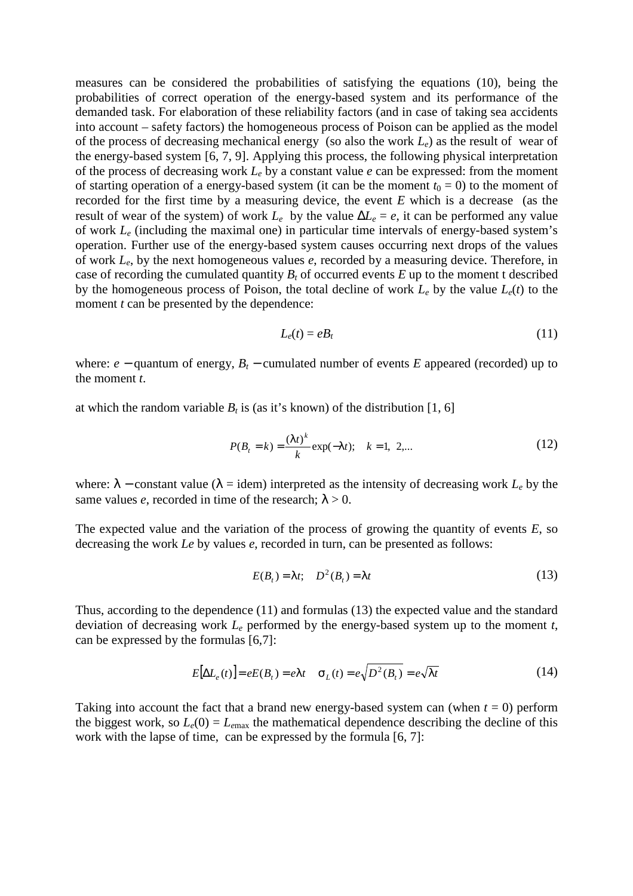measures can be considered the probabilities of satisfying the equations (10), being the probabilities of correct operation of the energy-based system and its performance of the demanded task. For elaboration of these reliability factors (and in case of taking sea accidents into account – safety factors) the homogeneous process of Poison can be applied as the model of the process of decreasing mechanical energy (so also the work *Le*) as the result of wear of the energy-based system [6, 7, 9]. Applying this process, the following physical interpretation of the process of decreasing work *Le* by a constant value *e* can be expressed: from the moment of starting operation of a energy-based system (it can be the moment  $t_0 = 0$ ) to the moment of recorded for the first time by a measuring device, the event *E* which is a decrease (as the result of wear of the system) of work  $L_e$  by the value  $\Delta L_e = e$ , it can be performed any value of work *Le* (including the maximal one) in particular time intervals of energy-based system's operation. Further use of the energy-based system causes occurring next drops of the values of work *Le*, by the next homogeneous values *e*, recorded by a measuring device. Therefore, in case of recording the cumulated quantity  $B_t$  of occurred events  $E$  up to the moment t described by the homogeneous process of Poison, the total decline of work  $L_e$  by the value  $L_e(t)$  to the moment *t* can be presented by the dependence:

$$
L_e(t) = e_1 \tag{11}
$$

where:  $e -$  quantum of energy,  $B_t -$  cumulated number of events *E* appeared (recorded) up to the moment *t*.

at which the random variable  $B_t$  is (as it's known) of the distribution [1, 6]

$$
P(B_t = k) = \frac{(\lambda t)^k}{k} \exp(-\lambda t); \quad k = 1, 2,...
$$
 (12)

where:  $\lambda$  – constant value ( $\lambda$  = idem) interpreted as the intensity of decreasing work  $L_e$  by the same values *e*, recorded in time of the research;  $\lambda > 0$ .

The expected value and the variation of the process of growing the quantity of events *E*, so decreasing the work *Le* by values *e*, recorded in turn, can be presented as follows:

$$
E(Bt) = \lambda t; \quad D2(Bt) = \lambda t
$$
\n(13)

Thus, according to the dependence (11) and formulas (13) the expected value and the standard deviation of decreasing work *Le* performed by the energy-based system up to the moment *t*, can be expressed by the formulas [6,7]:

$$
E[\Delta L_e(t)] = eE(B_t) = e\lambda t \quad \sigma_L(t) = e\sqrt{D^2(B_t)} = e\sqrt{\lambda t}
$$
 (14)

Taking into account the fact that a brand new energy-based system can (when  $t = 0$ ) perform the biggest work, so  $L_e(0) = L_{\text{emax}}$  the mathematical dependence describing the decline of this work with the lapse of time, can be expressed by the formula [6, 7]: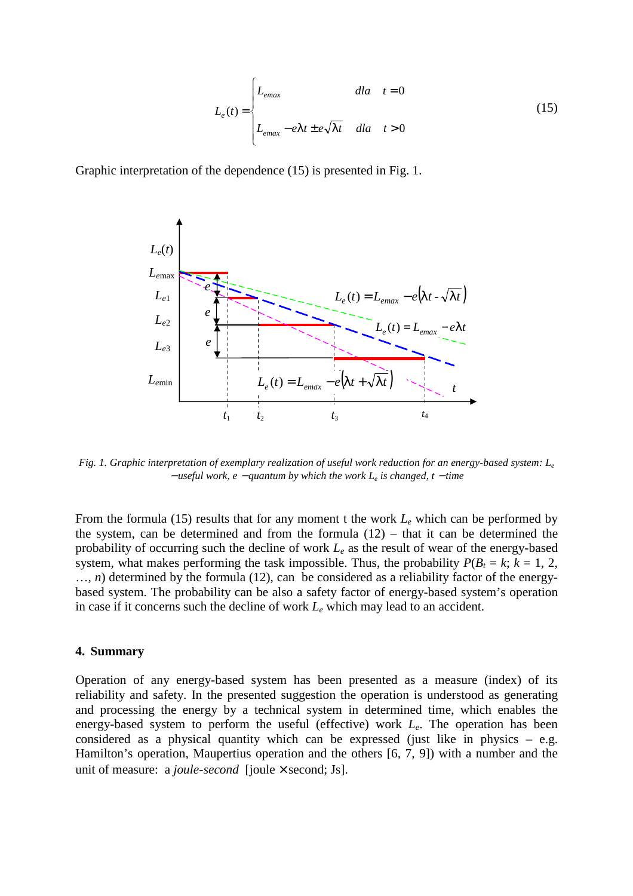$$
L_e(t) = \begin{cases} L_{emax} & dla \quad t = 0\\ L_{emax} - e\lambda t \pm e\sqrt{\lambda t} & dla \quad t > 0 \end{cases}
$$
 (15)

Graphic interpretation of the dependence (15) is presented in Fig. 1.



*Fig. 1. Graphic interpretation of exemplary realization of useful work reduction for an energy-based system: L<sup>e</sup>* <sup>−</sup> *useful work, e* − *quantum by which the work L<sup>e</sup> is changed, t* − *time* 

From the formula (15) results that for any moment t the work *Le* which can be performed by the system, can be determined and from the formula  $(12)$  – that it can be determined the probability of occurring such the decline of work *Le* as the result of wear of the energy-based system, what makes performing the task impossible. Thus, the probability  $P(B_t = k; k = 1, 2, 1)$  $..., n$ ) determined by the formula (12), can be considered as a reliability factor of the energybased system. The probability can be also a safety factor of energy-based system's operation in case if it concerns such the decline of work *Le* which may lead to an accident.

#### **4. Summary**

Operation of any energy-based system has been presented as a measure (index) of its reliability and safety. In the presented suggestion the operation is understood as generating and processing the energy by a technical system in determined time, which enables the energy-based system to perform the useful (effective) work *Le*. The operation has been considered as a physical quantity which can be expressed (just like in physics  $-$  e.g. Hamilton's operation, Maupertius operation and the others [6, 7, 9]) with a number and the unit of measure: a *joule-second* [joule × second; Js].